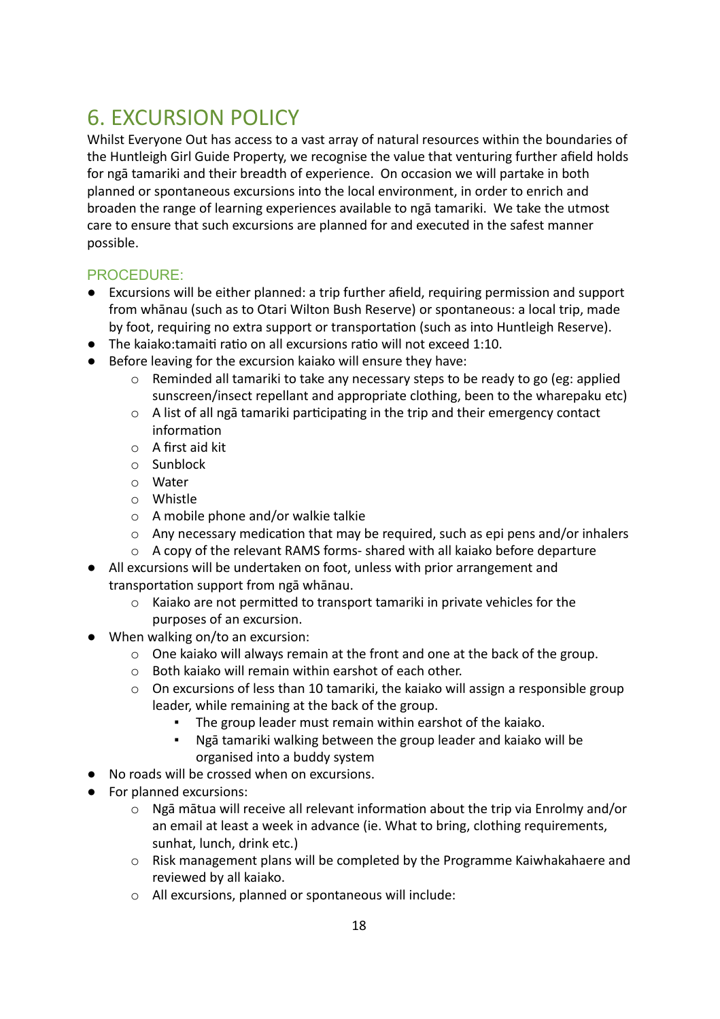## 6. EXCURSION POLICY

Whilst Everyone Out has access to a vast array of natural resources within the boundaries of the Huntleigh Girl Guide Property, we recognise the value that venturing further afield holds for ngā tamariki and their breadth of experience. On occasion we will partake in both planned or spontaneous excursions into the local environment, in order to enrich and broaden the range of learning experiences available to ngā tamariki. We take the utmost care to ensure that such excursions are planned for and executed in the safest manner possible.

## PROCEDURE:

- Excursions will be either planned: a trip further afield, requiring permission and support from whānau (such as to Otari Wilton Bush Reserve) or spontaneous: a local trip, made by foot, requiring no extra support or transportation (such as into Huntleigh Reserve).
- $\bullet$  The kaiako: tamaiti ratio on all excursions ratio will not exceed 1:10.
- Before leaving for the excursion kaiako will ensure they have:
	- o Reminded all tamariki to take any necessary steps to be ready to go (eg: applied sunscreen/insect repellant and appropriate clothing, been to the wharepaku etc)
	- $\circ$  A list of all ngā tamariki participating in the trip and their emergency contact information
	- o A first aid kit
	- o Sunblock
	- o Water
	- o Whistle
	- o A mobile phone and/or walkie talkie
	- $\circ$  Any necessary medication that may be required, such as epi pens and/or inhalers
	- o A copy of the relevant RAMS forms- shared with all kaiako before departure
- All excursions will be undertaken on foot, unless with prior arrangement and transportation support from ngā whānau.
	- $\circ$  Kaiako are not permitted to transport tamariki in private vehicles for the purposes of an excursion.
- When walking on/to an excursion:
	- o One kaiako will always remain at the front and one at the back of the group.
	- o Both kaiako will remain within earshot of each other.
	- o On excursions of less than 10 tamariki, the kaiako will assign a responsible group leader, while remaining at the back of the group.
		- The group leader must remain within earshot of the kaiako.
		- Ngā tamariki walking between the group leader and kaiako will be organised into a buddy system
- No roads will be crossed when on excursions.
- For planned excursions:
	- $\circ$  Ngā mātua will receive all relevant information about the trip via Enrolmy and/or an email at least a week in advance (ie. What to bring, clothing requirements, sunhat, lunch, drink etc.)
	- o Risk management plans will be completed by the Programme Kaiwhakahaere and reviewed by all kaiako.
	- o All excursions, planned or spontaneous will include: